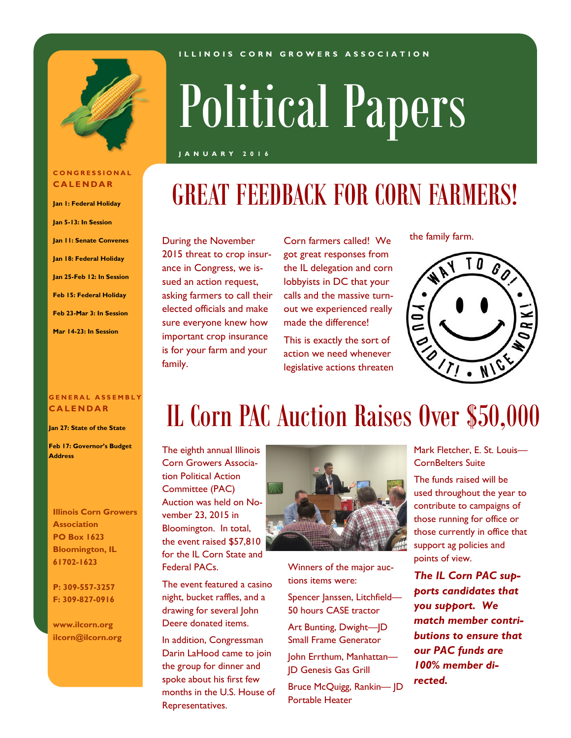

**C O N G R E S S I O N A L C A L E N D A R**

**Jan 1: Federal Holiday Jan 5-13: In Session**

**Jan 11: Senate Convenes**

**Jan 18: Federal Holiday Jan 25-Feb 12: In Session**

**Feb 15: Federal Holiday Feb 23-Mar 3: In Session**

**Mar 14-23: In Session**

#### **I L L I N O I S C O R N G R O W E R S A S S O C I A T I O N**

## Political Papers

#### **J A N U A R Y 2 0 1 6**

## GREAT FEEDBACK FOR CORN FARMERS!

During the November Corn farmers called! We the family farm. 2015 threat to crop insurance in Congress, we issued an action request, asking farmers to call their elected officials and make sure everyone knew how important crop insurance is for your farm and your family.

got great responses from the IL delegation and corn lobbyists in DC that your calls and the massive turnout we experienced really made the difference!

This is exactly the sort of action we need whenever legislative actions threaten



#### **G E N E R A L A S S E M B L Y C A L E N D A R**

**Jan 27: State of the State**

**Feb 17: Governor's Budget Address**

**Illinois Corn Growers Association PO Box 1623 Bloomington, IL 61702-1623**

**P: 309-557-3257 F: 309-827-0916**

**www.ilcorn.org ilcorn@ilcorn.org**

## IL Corn PAC Auction Raises Over \$50,000

The eighth annual Illinois Corn Growers Association Political Action Committee (PAC) Auction was held on November 23, 2015 in Bloomington. In total, the event raised \$57,810 for the IL Corn State and Federal PACs.

The event featured a casino night, bucket raffles, and a drawing for several John Deere donated items.

In addition, Congressman Darin LaHood came to join the group for dinner and spoke about his first few months in the U.S. House of Representatives.



Winners of the major auctions items were:

Spencer Janssen, Litchfield— 50 hours CASE tractor

Art Bunting, Dwight—JD Small Frame Generator

John Errthum, Manhattan— JD Genesis Gas Grill

Bruce McQuigg, Rankin— JD Portable Heater

Mark Fletcher, E. St. Louis— CornBelters Suite

The funds raised will be used throughout the year to contribute to campaigns of those running for office or those currently in office that support ag policies and points of view.

*The IL Corn PAC supports candidates that you support. We match member contributions to ensure that our PAC funds are 100% member directed.*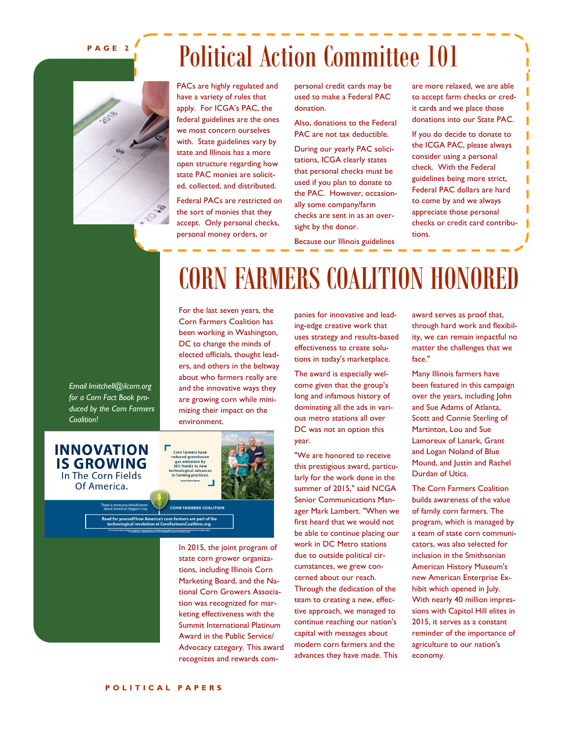#### **P A G E 2**

## Political Action Committee 101



PACs are highly regulated and have a variety of rules that apply. For ICGA's PAC, the federal guidelines are the ones we most concern ourselves with. State guidelines vary by state and Illinois has a more open structure regarding how state PAC monies are solicited, collected, and distributed.

Federal PACs are restricted on the sort of monies that they accept. Only personal checks, personal money orders, or

personal credit cards may be used to make a Federal PAC donation.

Also, donations to the Federal PAC are not tax deductible.

During our yearly PAC solicitations, ICGA clearly states that personal checks must be used if you plan to donate to the PAC. However, occasionally some company/farm checks are sent in as an oversight by the donor.

Because our Illinois guidelines

are more relaxed, we are able to accept farm checks or credit cards and we place those donations into our State PAC.

If you do decide to donate to the ICGA PAC, please always consider using a personal check. With the Federal guidelines being more strict, Federal PAC dollars are hard to come by and we always appreciate those personal checks or credit card contributions.

CORN FARMERS COALITION HONORED

For the last seven years, the Corn Farmers Coalition has been working in Washington, DC to change the minds of elected officials, thought leaders, and others in the beltway about who farmers really are and the innovative ways they are growing corn while minimizing their impact on the environment.

*Email lmitchell@ilcorn.org for a Corn Fact Book produced by the Corn Farmers Coalition!*



In 2015, the joint program of state corn grower organizations, including Illinois Corn Marketing Board, and the National Corn Growers Association was recognized for marketing effectiveness with the Summit International Platinum Award in the Public Service/ Advocacy category. This award recognizes and rewards companies for innovative and leading-edge creative work that uses strategy and results-based effectiveness to create solutions in today's marketplace.

The award is especially welcome given that the group's long and infamous history of dominating all the ads in various metro stations all over DC was not an option this year.

"We are honored to receive this prestigious award, particularly for the work done in the summer of 2015," said NCGA Senior Communications Manager Mark Lambert. "When we first heard that we would not be able to continue placing our work in DC Metro stations due to outside political circumstances, we grew concerned about our reach. Through the dedication of the team to creating a new, effective approach, we managed to continue reaching our nation's

capital with messages about modern corn farmers and the advances they have made. This award serves as proof that, through hard work and flexibility, we can remain impactful no matter the challenges that we face."

Many Illinois farmers have been featured in this campaign over the years, including John and Sue Adams of Atlanta, Scott and Connie Sterling of Martinton, Lou and Sue Lamoreux of Lanark, Grant and Logan Noland of Blue Mound, and Justin and Rachel Durdan of Utica.

The Corn Farmers Coalition builds awareness of the value of family corn farmers. The program, which is managed by a team of state corn communicators, was also selected for inclusion in the Smithsonian American History Museum's new American Enterprise Exhibit which opened in July. With nearly 40 million impressions with Capitol Hill elites in 2015, it serves as a constant reminder of the importance of agriculture to our nation's economy.

**P O L I T I C A L P A P E R S**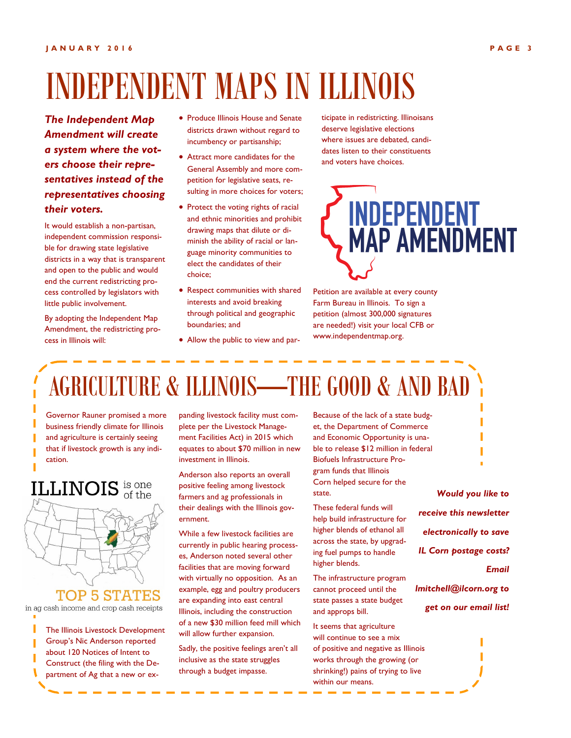## INDEPENDENT MAPS IN ILLINOIS

*The Independent Map Amendment will create a system where the voters choose their representatives instead of the representatives choosing their voters.*

It would establish a non-partisan, independent commission responsible for drawing state legislative districts in a way that is transparent and open to the public and would end the current redistricting process controlled by legislators with little public involvement.

By adopting the Independent Map Amendment, the redistricting process in Illinois will:

- **Produce Illinois House and Senate** districts drawn without regard to incumbency or partisanship;
- Attract more candidates for the General Assembly and more competition for legislative seats, resulting in more choices for voters;
- Protect the voting rights of racial and ethnic minorities and prohibit drawing maps that dilute or diminish the ability of racial or language minority communities to elect the candidates of their choice;
- Respect communities with shared interests and avoid breaking through political and geographic boundaries; and
- Allow the public to view and par-

ticipate in redistricting. Illinoisans deserve legislative elections where issues are debated, candidates listen to their constituents and voters have choices.



Petition are available at every county Farm Bureau in Illinois. To sign a petition (almost 300,000 signatures are needed!) visit your local CFB or www.independentmap.org.

## AGRICULTURE & ILLINOIS—THE GOOD & AND BAD

Governor Rauner promised a more business friendly climate for Illinois and agriculture is certainly seeing that if livestock growth is any indication.

# **ILLINOIS** is one

**TOP 5 STATES** in ag cash income and crop cash receipts

The Illinois Livestock Development Group's Nic Anderson reported about 120 Notices of Intent to Construct (the filing with the Department of Ag that a new or ex-

panding livestock facility must complete per the Livestock Management Facilities Act) in 2015 which equates to about \$70 million in new investment in Illinois.

Anderson also reports an overall positive feeling among livestock farmers and ag professionals in their dealings with the Illinois government.

While a few livestock facilities are currently in public hearing processes, Anderson noted several other facilities that are moving forward with virtually no opposition. As an example, egg and poultry producers are expanding into east central Illinois, including the construction of a new \$30 million feed mill which will allow further expansion.

Sadly, the positive feelings aren't all inclusive as the state struggles through a budget impasse.

Because of the lack of a state budget, the Department of Commerce and Economic Opportunity is unable to release \$12 million in federal Biofuels Infrastructure Program funds that Illinois Corn helped secure for the state.

These federal funds will help build infrastructure for higher blends of ethanol all across the state, by upgrading fuel pumps to handle higher blends.

The infrastructure program cannot proceed until the state passes a state budget and approps bill.

It seems that agriculture will continue to see a mix of positive and negative as Illinois works through the growing (or shrinking!) pains of trying to live within our means.



*lmitchell@ilcorn.org to get on our email list!*